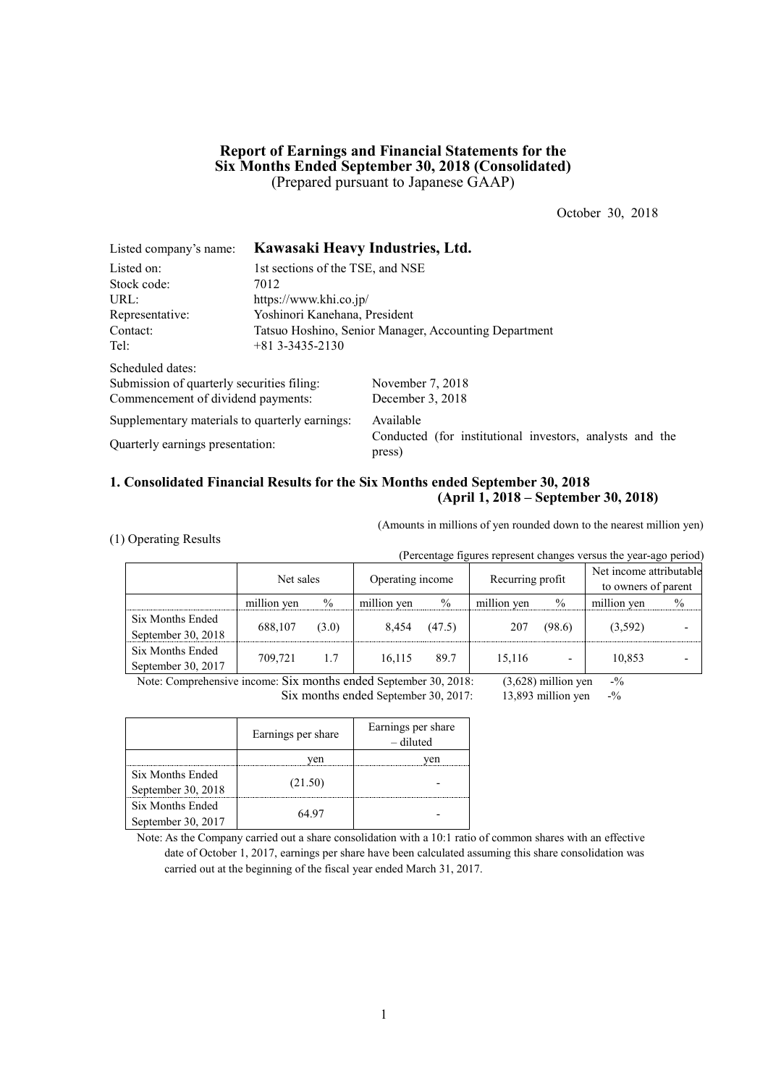## **Report of Earnings and Financial Statements for the Six Months Ended September 30, 2018 (Consolidated)** (Prepared pursuant to Japanese GAAP)

October 30, 2018

| Listed company's name:                         | Kawasaki Heavy Industries, Ltd.                       |                                                                    |  |  |  |  |
|------------------------------------------------|-------------------------------------------------------|--------------------------------------------------------------------|--|--|--|--|
| Listed on:                                     | 1st sections of the TSE, and NSE                      |                                                                    |  |  |  |  |
| Stock code:                                    | 7012                                                  |                                                                    |  |  |  |  |
| URL:                                           | https://www.khi.co.jp/                                |                                                                    |  |  |  |  |
| Representative:                                | Yoshinori Kanehana, President                         |                                                                    |  |  |  |  |
| Contact:                                       | Tatsuo Hoshino, Senior Manager, Accounting Department |                                                                    |  |  |  |  |
| Tel:                                           | $+813--3435-2130$                                     |                                                                    |  |  |  |  |
| Scheduled dates:                               |                                                       |                                                                    |  |  |  |  |
| Submission of quarterly securities filing:     |                                                       | November 7, 2018                                                   |  |  |  |  |
| Commencement of dividend payments:             |                                                       | December 3, 2018                                                   |  |  |  |  |
| Supplementary materials to quarterly earnings: |                                                       | Available                                                          |  |  |  |  |
| Quarterly earnings presentation:               |                                                       | Conducted (for institutional investors, analysts and the<br>press) |  |  |  |  |

## **1. Consolidated Financial Results for the Six Months ended September 30, 2018 (April 1, 2018 – September 30, 2018)**

(1) Operating Results

(Amounts in millions of yen rounded down to the nearest million yen)

| (Percentage figures represent changes versus the year-ago period) |             |       |                  |        |                  |                          |                                                |               |
|-------------------------------------------------------------------|-------------|-------|------------------|--------|------------------|--------------------------|------------------------------------------------|---------------|
|                                                                   | Net sales   |       | Operating income |        | Recurring profit |                          | Net income attributable<br>to owners of parent |               |
|                                                                   | million yen | $\%$  | million yen      | $\%$   | million yen      | $\%$                     | million yen                                    | $\frac{0}{0}$ |
| Six Months Ended                                                  | 688,107     | (3.0) | 8,454            | (47.5) | 207              | (98.6)                   | (3,592)                                        |               |
| September 30, 2018                                                |             |       |                  |        |                  |                          |                                                |               |
| Six Months Ended                                                  | 709,721     | 1.7   | 16,115           | 89.7   | 15,116           |                          | 10,853                                         |               |
| September 30, 2017                                                |             |       |                  |        |                  | $\overline{\phantom{0}}$ |                                                |               |

Note: Comprehensive income: Six months ended September 30, 2018: (3,628) million yen -% Six months ended September 30, 2017: 13,893 million yen -%

|                    | Earnings per share | Earnings per share<br>– diluted |
|--------------------|--------------------|---------------------------------|
|                    | ven                | ven                             |
| Six Months Ended   |                    |                                 |
| September 30, 2018 | (21.50)            |                                 |
| Six Months Ended   | 64 97              |                                 |
| September 30, 2017 |                    |                                 |

Note: As the Company carried out a share consolidation with a 10:1 ratio of common shares with an effective date of October 1, 2017, earnings per share have been calculated assuming this share consolidation was carried out at the beginning of the fiscal year ended March 31, 2017.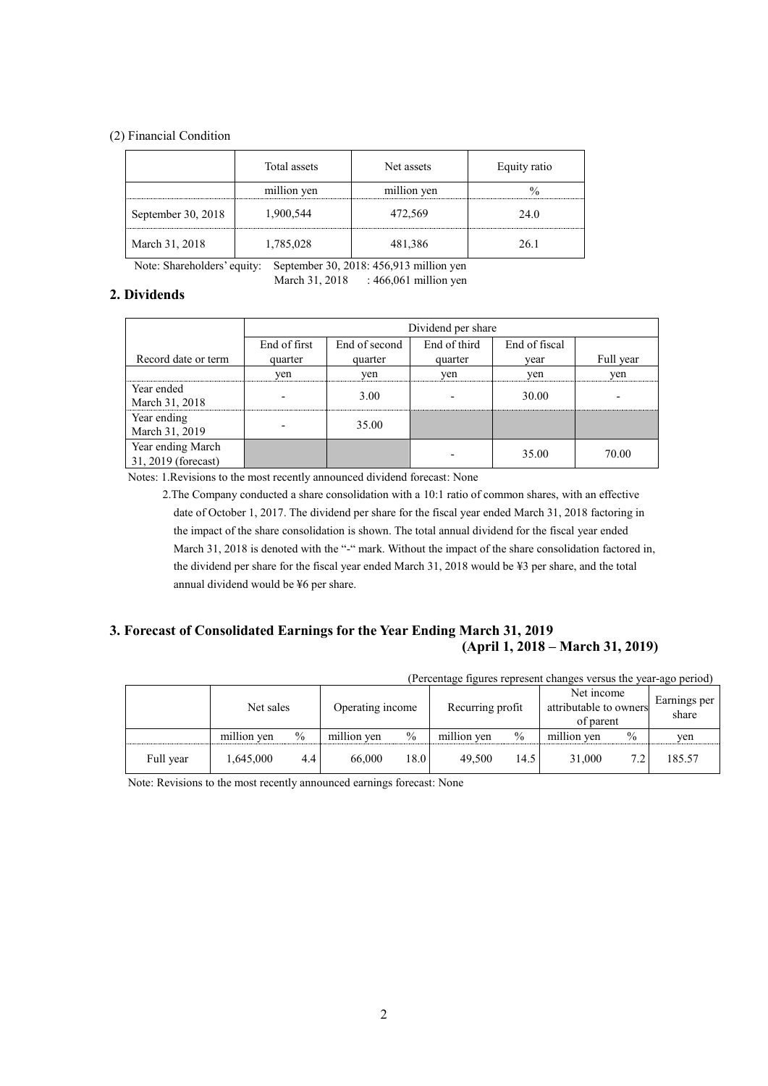### (2) Financial Condition

|                    | Total assets | Net assets  | Equity ratio |
|--------------------|--------------|-------------|--------------|
|                    | million yen  | million yen |              |
| September 30, 2018 | 1,900,544    | 472,569     | 24.0         |
| March 31, 2018     | 1,785,028    | 481,386     | 26 1         |

Note: Shareholders' equity: September 30, 2018: 456,913 million yen

March 31, 2018 : 466,061 million yen

## **2. Dividends**

|                                          | Dividend per share |               |              |               |           |  |  |
|------------------------------------------|--------------------|---------------|--------------|---------------|-----------|--|--|
|                                          | End of first       | End of second | End of third | End of fiscal |           |  |  |
| Record date or term                      | quarter            | quarter       | quarter      | vear          | Full year |  |  |
|                                          | yen                | yen           | yen          | yen           | yen       |  |  |
| Year ended<br>March 31, 2018             |                    | 3.00          |              | 30.00         |           |  |  |
| Year ending<br>March 31, 2019            |                    | 35.00         |              |               |           |  |  |
| Year ending March<br>31, 2019 (forecast) |                    |               |              | 35.00         | 70.00     |  |  |

Notes: 1.Revisions to the most recently announced dividend forecast: None

2.The Company conducted a share consolidation with a 10:1 ratio of common shares, with an effective date of October 1, 2017. The dividend per share for the fiscal year ended March 31, 2018 factoring in the impact of the share consolidation is shown. The total annual dividend for the fiscal year ended March 31, 2018 is denoted with the "-" mark. Without the impact of the share consolidation factored in, the dividend per share for the fiscal year ended March 31, 2018 would be ¥3 per share, and the total annual dividend would be ¥6 per share.

## **3. Forecast of Consolidated Earnings for the Year Ending March 31, 2019 (April 1, 2018 – March 31, 2019)**

| (Percentage figures represent changes versus the year-ago period) |             |      |                  |               |                  |               |                                                   |      |                       |
|-------------------------------------------------------------------|-------------|------|------------------|---------------|------------------|---------------|---------------------------------------------------|------|-----------------------|
|                                                                   | Net sales   |      | Operating income |               | Recurring profit |               | Net income<br>attributable to owners<br>of parent |      | Earnings per<br>share |
|                                                                   | million yen | $\%$ | million yen      | $\frac{0}{0}$ | million yen      | $\frac{0}{0}$ | million yen                                       | $\%$ | ven                   |
| Full year                                                         | 1,645,000   | 4.4  | 66,000           | 18.0          | 49.500           | 14.5          | 31.000                                            | 7.2  | 185.57                |

Note: Revisions to the most recently announced earnings forecast: None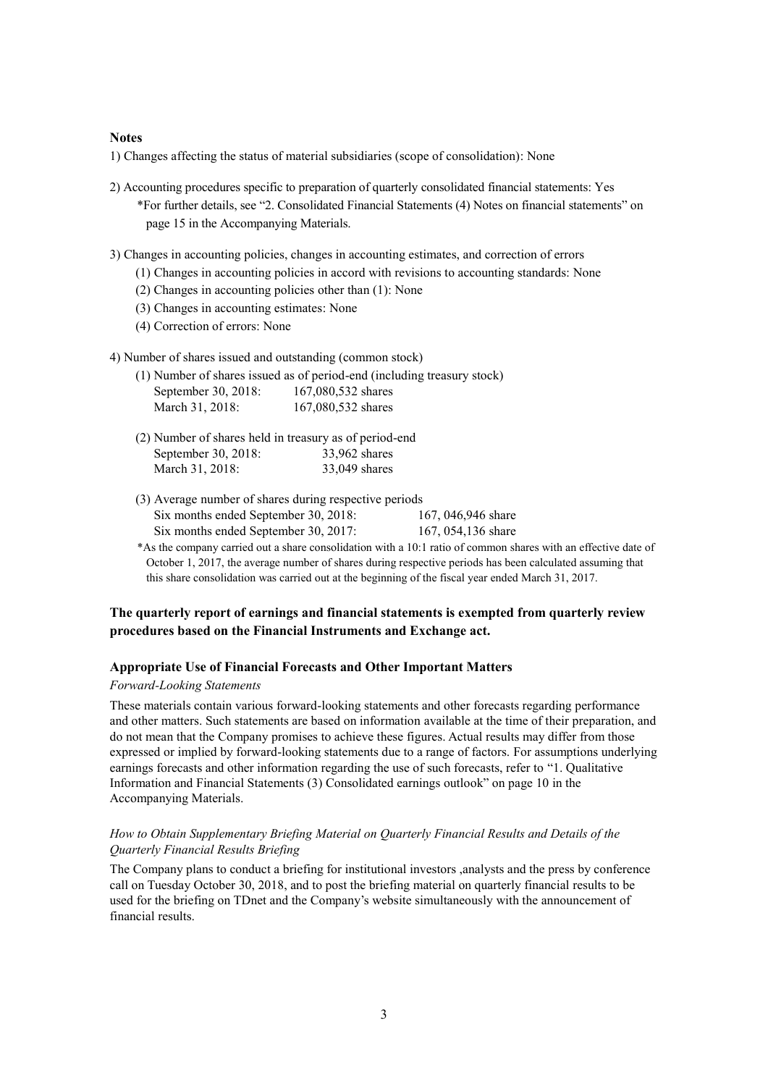#### **Notes**

1) Changes affecting the status of material subsidiaries (scope of consolidation): None

- 2) Accounting procedures specific to preparation of quarterly consolidated financial statements: Yes \*For further details, see "2. Consolidated Financial Statements (4) Notes on financial statements" on page 15 in the Accompanying Materials.
- 3) Changes in accounting policies, changes in accounting estimates, and correction of errors
	- (1) Changes in accounting policies in accord with revisions to accounting standards: None
	- (2) Changes in accounting policies other than (1): None
	- (3) Changes in accounting estimates: None
	- (4) Correction of errors: None
- 4) Number of shares issued and outstanding (common stock)

|                     | (1) Number of shares issued as of period-end (including treasury stock) |
|---------------------|-------------------------------------------------------------------------|
| September 30, 2018: | 167,080,532 shares                                                      |
| March 31, 2018:     | 167,080,532 shares                                                      |

- (2) Number of shares held in treasury as of period-end September 30, 2018: 33,962 shares March 31, 2018: 33,049 shares
- (3) Average number of shares during respective periods Six months ended September 30, 2018: 167, 046,946 share Six months ended September 30, 2017: 167, 054, 136 share
- \*As the company carried out a share consolidation with a 10:1 ratio of common shares with an effective date of October 1, 2017, the average number of shares during respective periods has been calculated assuming that this share consolidation was carried out at the beginning of the fiscal year ended March 31, 2017.

## **The quarterly report of earnings and financial statements is exempted from quarterly review procedures based on the Financial Instruments and Exchange act.**

### **Appropriate Use of Financial Forecasts and Other Important Matters**

#### *Forward-Looking Statements*

These materials contain various forward-looking statements and other forecasts regarding performance and other matters. Such statements are based on information available at the time of their preparation, and do not mean that the Company promises to achieve these figures. Actual results may differ from those expressed or implied by forward-looking statements due to a range of factors. For assumptions underlying earnings forecasts and other information regarding the use of such forecasts, refer to "1. Qualitative Information and Financial Statements (3) Consolidated earnings outlook" on page 10 in the Accompanying Materials.

### *How to Obtain Supplementary Briefing Material on Quarterly Financial Results and Details of the Quarterly Financial Results Briefing*

The Company plans to conduct a briefing for institutional investors ,analysts and the press by conference call on Tuesday October 30, 2018, and to post the briefing material on quarterly financial results to be used for the briefing on TDnet and the Company's website simultaneously with the announcement of financial results.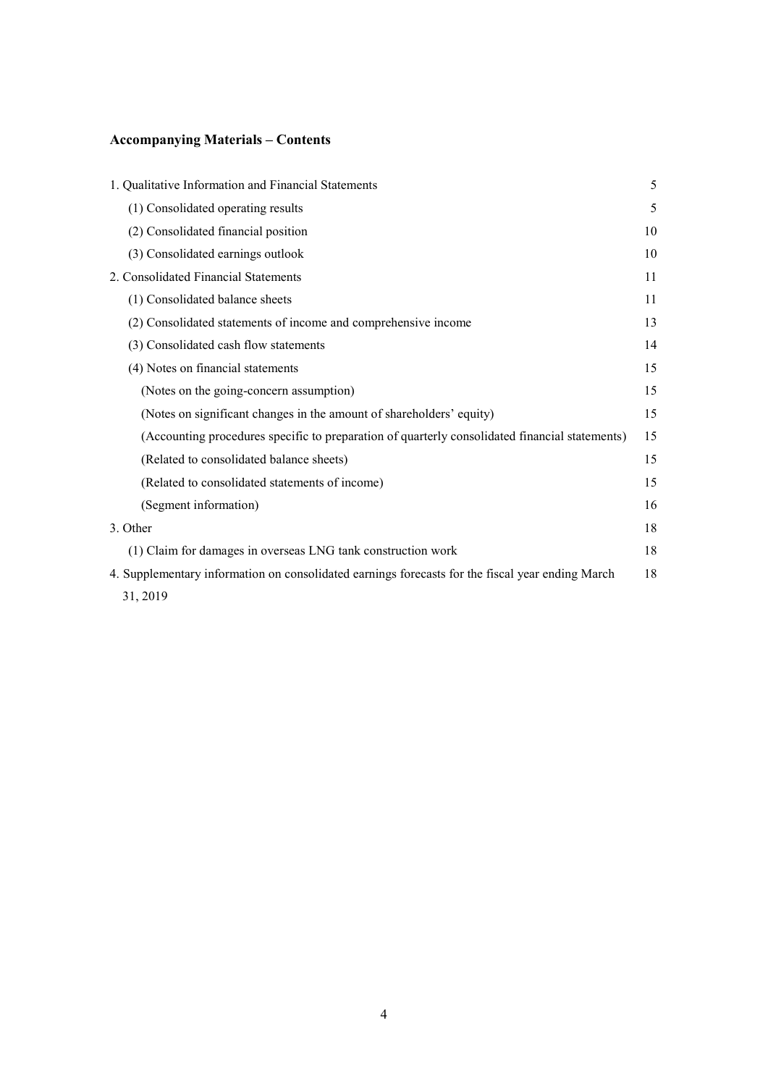# **Accompanying Materials – Contents**

| 1. Qualitative Information and Financial Statements                                              | 5  |
|--------------------------------------------------------------------------------------------------|----|
| (1) Consolidated operating results                                                               | 5  |
| (2) Consolidated financial position                                                              | 10 |
| (3) Consolidated earnings outlook                                                                | 10 |
| 2. Consolidated Financial Statements                                                             | 11 |
| (1) Consolidated balance sheets                                                                  | 11 |
| (2) Consolidated statements of income and comprehensive income                                   | 13 |
| (3) Consolidated cash flow statements                                                            | 14 |
| (4) Notes on financial statements                                                                | 15 |
| (Notes on the going-concern assumption)                                                          | 15 |
| (Notes on significant changes in the amount of shareholders' equity)                             | 15 |
| (Accounting procedures specific to preparation of quarterly consolidated financial statements)   | 15 |
| (Related to consolidated balance sheets)                                                         | 15 |
| (Related to consolidated statements of income)                                                   | 15 |
| (Segment information)                                                                            | 16 |
| 3. Other                                                                                         | 18 |
| (1) Claim for damages in overseas LNG tank construction work                                     | 18 |
| 4. Supplementary information on consolidated earnings forecasts for the fiscal year ending March | 18 |
| 31, 2019                                                                                         |    |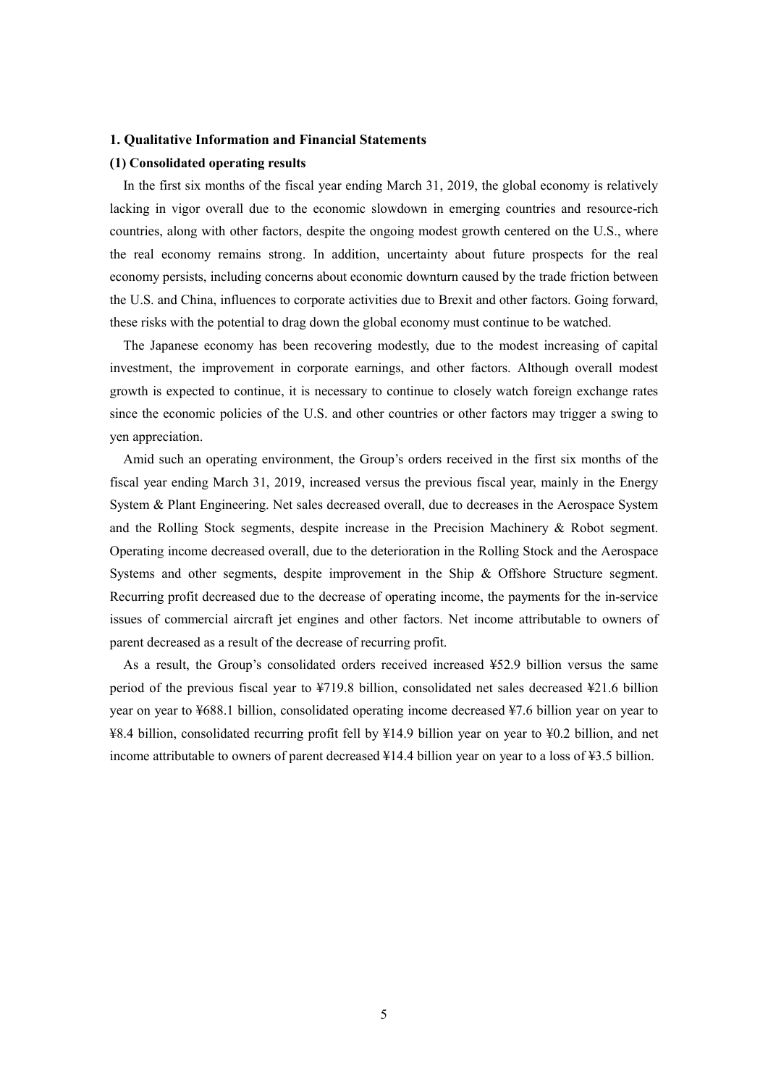#### **1. Qualitative Information and Financial Statements**

#### **(1) Consolidated operating results**

In the first six months of the fiscal year ending March 31, 2019, the global economy is relatively lacking in vigor overall due to the economic slowdown in emerging countries and resource-rich countries, along with other factors, despite the ongoing modest growth centered on the U.S., where the real economy remains strong. In addition, uncertainty about future prospects for the real economy persists, including concerns about economic downturn caused by the trade friction between the U.S. and China, influences to corporate activities due to Brexit and other factors. Going forward, these risks with the potential to drag down the global economy must continue to be watched.

The Japanese economy has been recovering modestly, due to the modest increasing of capital investment, the improvement in corporate earnings, and other factors. Although overall modest growth is expected to continue, it is necessary to continue to closely watch foreign exchange rates since the economic policies of the U.S. and other countries or other factors may trigger a swing to yen appreciation.

Amid such an operating environment, the Group's orders received in the first six months of the fiscal year ending March 31, 2019, increased versus the previous fiscal year, mainly in the Energy System & Plant Engineering. Net sales decreased overall, due to decreases in the Aerospace System and the Rolling Stock segments, despite increase in the Precision Machinery & Robot segment. Operating income decreased overall, due to the deterioration in the Rolling Stock and the Aerospace Systems and other segments, despite improvement in the Ship & Offshore Structure segment. Recurring profit decreased due to the decrease of operating income, the payments for the in-service issues of commercial aircraft jet engines and other factors. Net income attributable to owners of parent decreased as a result of the decrease of recurring profit.

As a result, the Group's consolidated orders received increased ¥52.9 billion versus the same period of the previous fiscal year to ¥719.8 billion, consolidated net sales decreased ¥21.6 billion year on year to ¥688.1 billion, consolidated operating income decreased ¥7.6 billion year on year to ¥8.4 billion, consolidated recurring profit fell by ¥14.9 billion year on year to ¥0.2 billion, and net income attributable to owners of parent decreased ¥14.4 billion year on year to a loss of ¥3.5 billion.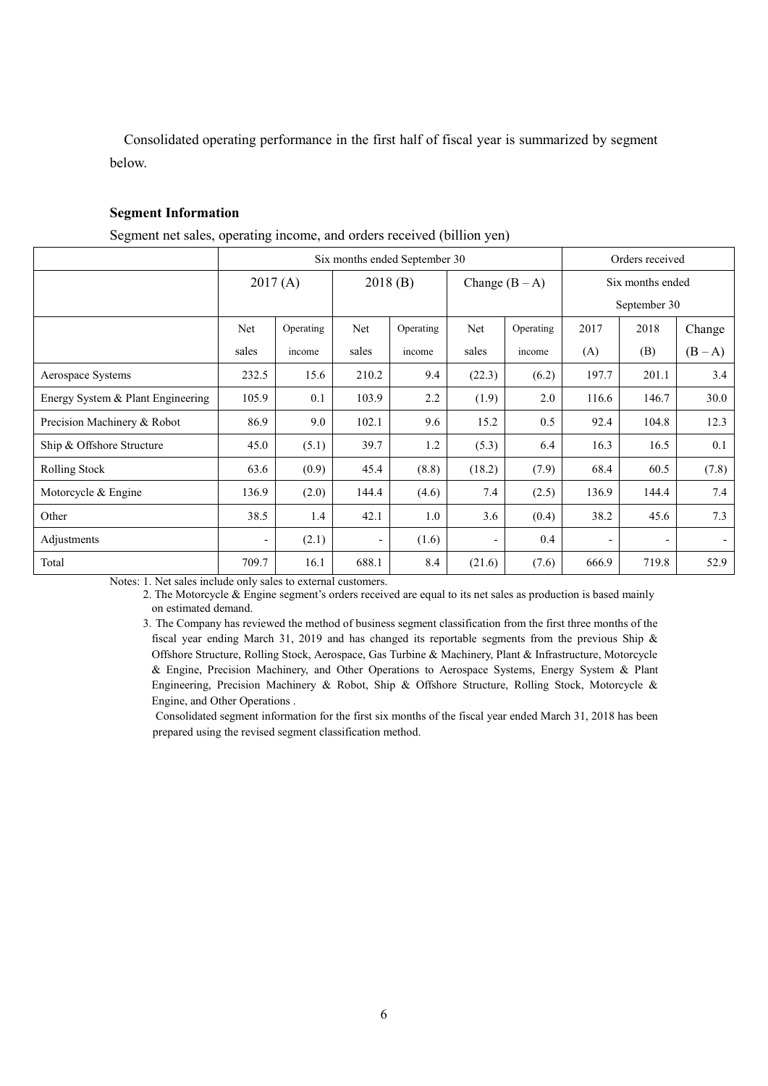Consolidated operating performance in the first half of fiscal year is summarized by segment below.

## **Segment Information**

Segment net sales, operating income, and orders received (billion yen)

|                                   | Six months ended September 30 |           |                          |           |                          |           |                  | Orders received |         |  |
|-----------------------------------|-------------------------------|-----------|--------------------------|-----------|--------------------------|-----------|------------------|-----------------|---------|--|
|                                   | 2017(A)                       |           | 2018(B)                  |           | Change $(B - A)$         |           | Six months ended |                 |         |  |
|                                   |                               |           |                          |           |                          |           |                  | September 30    |         |  |
|                                   | Net                           | Operating | Net                      | Operating | Net                      | Operating | 2017             | 2018            | Change  |  |
|                                   | sales                         | income    | sales                    | income    | sales                    | income    | (A)              | (B)             | $(B-A)$ |  |
| Aerospace Systems                 | 232.5                         | 15.6      | 210.2                    | 9.4       | (22.3)                   | (6.2)     | 197.7            | 201.1           | 3.4     |  |
| Energy System & Plant Engineering | 105.9                         | 0.1       | 103.9                    | 2.2       | (1.9)                    | 2.0       | 116.6            | 146.7           | 30.0    |  |
| Precision Machinery & Robot       | 86.9                          | 9.0       | 102.1                    | 9.6       | 15.2                     | 0.5       | 92.4             | 104.8           | 12.3    |  |
| Ship & Offshore Structure         | 45.0                          | (5.1)     | 39.7                     | 1.2       | (5.3)                    | 6.4       | 16.3             | 16.5            | 0.1     |  |
| Rolling Stock                     | 63.6                          | (0.9)     | 45.4                     | (8.8)     | (18.2)                   | (7.9)     | 68.4             | 60.5            | (7.8)   |  |
| Motorcycle $&$ Engine             | 136.9                         | (2.0)     | 144.4                    | (4.6)     | 7.4                      | (2.5)     | 136.9            | 144.4           | 7.4     |  |
| Other                             | 38.5                          | 1.4       | 42.1                     | 1.0       | 3.6                      | (0.4)     | 38.2             | 45.6            | 7.3     |  |
| Adjustments                       | -                             | (2.1)     | $\overline{\phantom{a}}$ | (1.6)     | $\overline{\phantom{a}}$ | 0.4       |                  | ۰.              |         |  |
| Total                             | 709.7                         | 16.1      | 688.1                    | 8.4       | (21.6)                   | (7.6)     | 666.9            | 719.8           | 52.9    |  |

Notes: 1. Net sales include only sales to external customers.

2. The Motorcycle & Engine segment's orders received are equal to its net sales as production is based mainly on estimated demand.

3. The Company has reviewed the method of business segment classification from the first three months of the fiscal year ending March 31, 2019 and has changed its reportable segments from the previous Ship & Offshore Structure, Rolling Stock, Aerospace, Gas Turbine & Machinery, Plant & Infrastructure, Motorcycle & Engine, Precision Machinery, and Other Operations to Aerospace Systems, Energy System & Plant Engineering, Precision Machinery & Robot, Ship & Offshore Structure, Rolling Stock, Motorcycle & Engine, and Other Operations .

Consolidated segment information for the first six months of the fiscal year ended March 31, 2018 has been prepared using the revised segment classification method.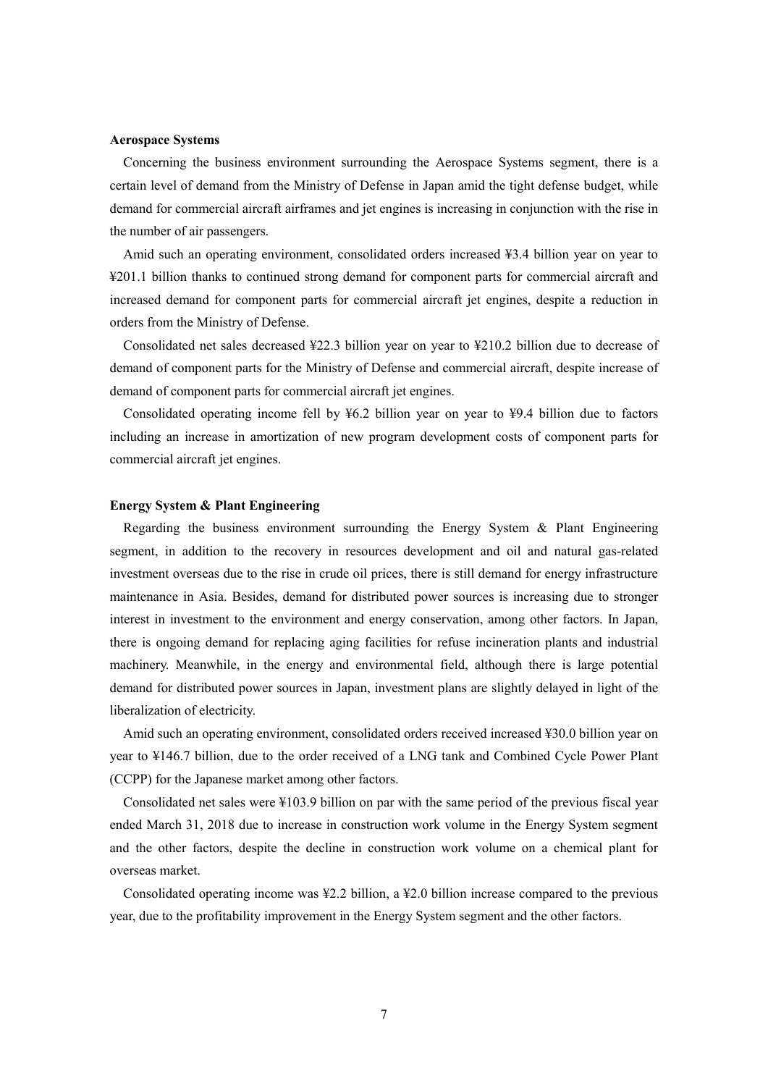#### **Aerospace Systems**

Concerning the business environment surrounding the Aerospace Systems segment, there is a certain level of demand from the Ministry of Defense in Japan amid the tight defense budget, while demand for commercial aircraft airframes and jet engines is increasing in conjunction with the rise in the number of air passengers.

Amid such an operating environment, consolidated orders increased ¥3.4 billion year on year to ¥201.1 billion thanks to continued strong demand for component parts for commercial aircraft and increased demand for component parts for commercial aircraft jet engines, despite a reduction in orders from the Ministry of Defense.

Consolidated net sales decreased ¥22.3 billion year on year to ¥210.2 billion due to decrease of demand of component parts for the Ministry of Defense and commercial aircraft, despite increase of demand of component parts for commercial aircraft jet engines.

Consolidated operating income fell by ¥6.2 billion year on year to ¥9.4 billion due to factors including an increase in amortization of new program development costs of component parts for commercial aircraft jet engines.

### **Energy System & Plant Engineering**

Regarding the business environment surrounding the Energy System & Plant Engineering segment, in addition to the recovery in resources development and oil and natural gas-related investment overseas due to the rise in crude oil prices, there is still demand for energy infrastructure maintenance in Asia. Besides, demand for distributed power sources is increasing due to stronger interest in investment to the environment and energy conservation, among other factors. In Japan, there is ongoing demand for replacing aging facilities for refuse incineration plants and industrial machinery. Meanwhile, in the energy and environmental field, although there is large potential demand for distributed power sources in Japan, investment plans are slightly delayed in light of the liberalization of electricity.

Amid such an operating environment, consolidated orders received increased ¥30.0 billion year on year to ¥146.7 billion, due to the order received of a LNG tank and Combined Cycle Power Plant (CCPP) for the Japanese market among other factors.

Consolidated net sales were ¥103.9 billion on par with the same period of the previous fiscal year ended March 31, 2018 due to increase in construction work volume in the Energy System segment and the other factors, despite the decline in construction work volume on a chemical plant for overseas market.

Consolidated operating income was ¥2.2 billion, a ¥2.0 billion increase compared to the previous year, due to the profitability improvement in the Energy System segment and the other factors.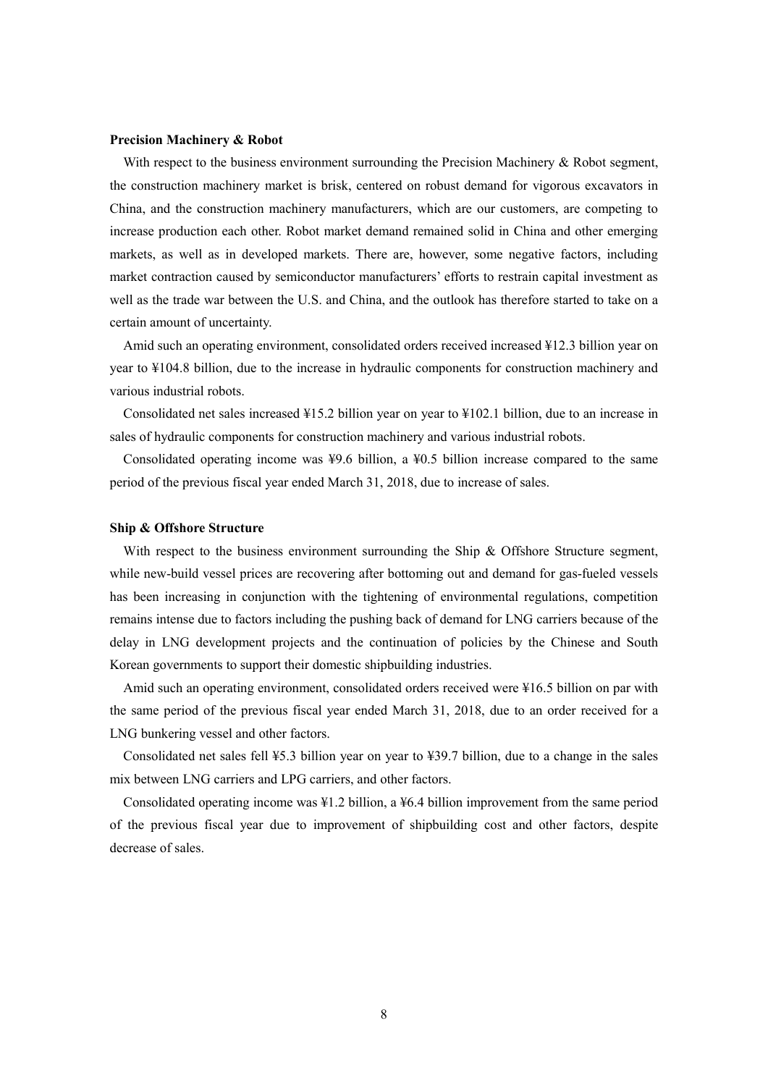#### **Precision Machinery & Robot**

With respect to the business environment surrounding the Precision Machinery  $\&$  Robot segment, the construction machinery market is brisk, centered on robust demand for vigorous excavators in China, and the construction machinery manufacturers, which are our customers, are competing to increase production each other. Robot market demand remained solid in China and other emerging markets, as well as in developed markets. There are, however, some negative factors, including market contraction caused by semiconductor manufacturers' efforts to restrain capital investment as well as the trade war between the U.S. and China, and the outlook has therefore started to take on a certain amount of uncertainty.

Amid such an operating environment, consolidated orders received increased ¥12.3 billion year on year to ¥104.8 billion, due to the increase in hydraulic components for construction machinery and various industrial robots.

Consolidated net sales increased ¥15.2 billion year on year to ¥102.1 billion, due to an increase in sales of hydraulic components for construction machinery and various industrial robots.

Consolidated operating income was  $\frac{49.6}{9}$  billion, a  $\frac{40.5}{9}$  billion increase compared to the same period of the previous fiscal year ended March 31, 2018, due to increase of sales.

#### **Ship & Offshore Structure**

With respect to the business environment surrounding the Ship & Offshore Structure segment, while new-build vessel prices are recovering after bottoming out and demand for gas-fueled vessels has been increasing in conjunction with the tightening of environmental regulations, competition remains intense due to factors including the pushing back of demand for LNG carriers because of the delay in LNG development projects and the continuation of policies by the Chinese and South Korean governments to support their domestic shipbuilding industries.

Amid such an operating environment, consolidated orders received were ¥16.5 billion on par with the same period of the previous fiscal year ended March 31, 2018, due to an order received for a LNG bunkering vessel and other factors.

Consolidated net sales fell ¥5.3 billion year on year to ¥39.7 billion, due to a change in the sales mix between LNG carriers and LPG carriers, and other factors.

Consolidated operating income was ¥1.2 billion, a ¥6.4 billion improvement from the same period of the previous fiscal year due to improvement of shipbuilding cost and other factors, despite decrease of sales.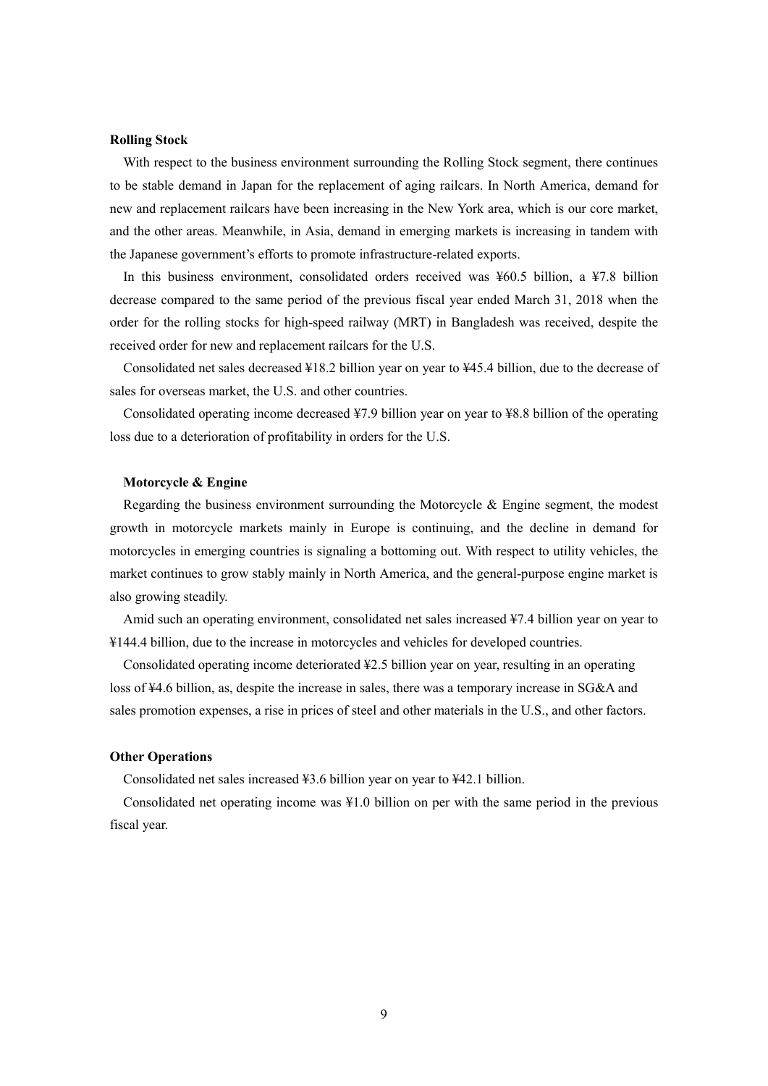#### **Rolling Stock**

With respect to the business environment surrounding the Rolling Stock segment, there continues to be stable demand in Japan for the replacement of aging railcars. In North America, demand for new and replacement railcars have been increasing in the New York area, which is our core market, and the other areas. Meanwhile, in Asia, demand in emerging markets is increasing in tandem with the Japanese government's efforts to promote infrastructure-related exports.

In this business environment, consolidated orders received was ¥60.5 billion, a ¥7.8 billion decrease compared to the same period of the previous fiscal year ended March 31, 2018 when the order for the rolling stocks for high-speed railway (MRT) in Bangladesh was received, despite the received order for new and replacement railcars for the U.S.

Consolidated net sales decreased ¥18.2 billion year on year to ¥45.4 billion, due to the decrease of sales for overseas market, the U.S. and other countries.

Consolidated operating income decreased ¥7.9 billion year on year to ¥8.8 billion of the operating loss due to a deterioration of profitability in orders for the U.S.

### **Motorcycle & Engine**

Regarding the business environment surrounding the Motorcycle  $\&$  Engine segment, the modest growth in motorcycle markets mainly in Europe is continuing, and the decline in demand for motorcycles in emerging countries is signaling a bottoming out. With respect to utility vehicles, the market continues to grow stably mainly in North America, and the general-purpose engine market is also growing steadily.

Amid such an operating environment, consolidated net sales increased ¥7.4 billion year on year to ¥144.4 billion, due to the increase in motorcycles and vehicles for developed countries.

Consolidated operating income deteriorated  $\frac{42.5}{2}$  billion year on year, resulting in an operating loss of ¥4.6 billion, as, despite the increase in sales, there was a temporary increase in SG&A and sales promotion expenses, a rise in prices of steel and other materials in the U.S., and other factors.

#### **Other Operations**

Consolidated net sales increased ¥3.6 billion year on year to ¥42.1 billion.

Consolidated net operating income was ¥1.0 billion on per with the same period in the previous fiscal year.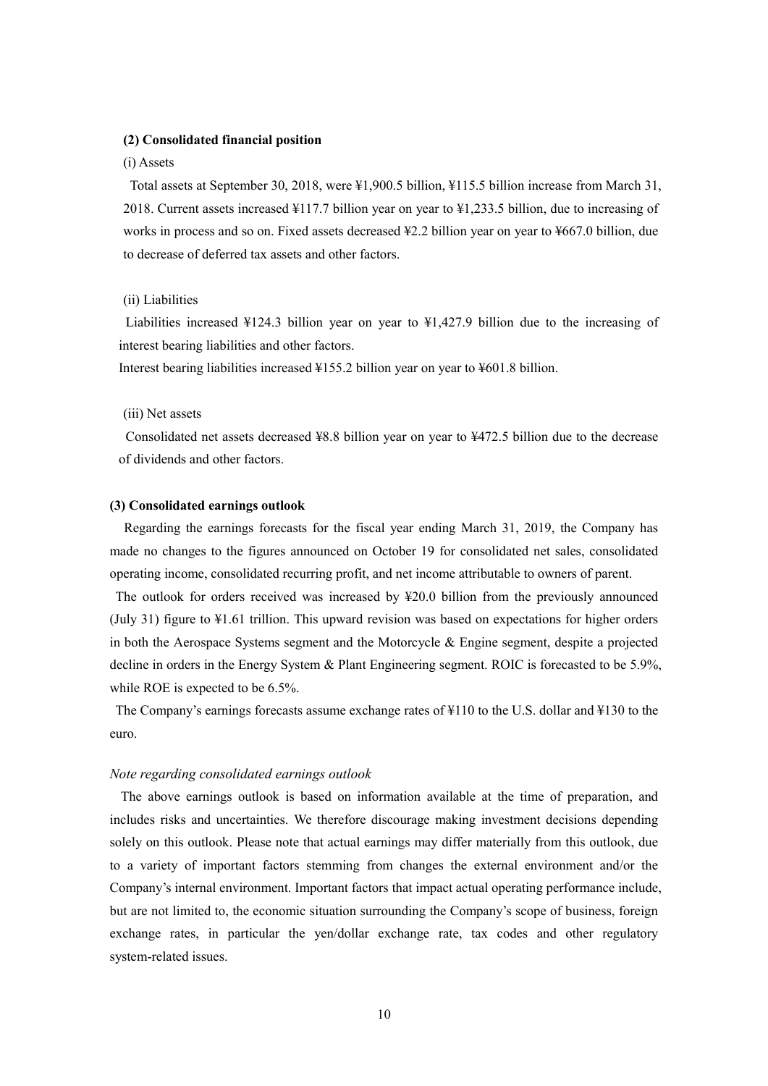#### **(2) Consolidated financial position**

#### (i) Assets

Total assets at September 30, 2018, were ¥1,900.5 billion, ¥115.5 billion increase from March 31, 2018. Current assets increased ¥117.7 billion year on year to ¥1,233.5 billion, due to increasing of works in process and so on. Fixed assets decreased ¥2.2 billion year on year to ¥667.0 billion, due to decrease of deferred tax assets and other factors.

#### (ii) Liabilities

Liabilities increased ¥124.3 billion year on year to ¥1,427.9 billion due to the increasing of interest bearing liabilities and other factors.

Interest bearing liabilities increased ¥155.2 billion year on year to ¥601.8 billion.

### (iii) Net assets

Consolidated net assets decreased ¥8.8 billion year on year to ¥472.5 billion due to the decrease of dividends and other factors.

### **(3) Consolidated earnings outlook**

Regarding the earnings forecasts for the fiscal year ending March 31, 2019, the Company has made no changes to the figures announced on October 19 for consolidated net sales, consolidated operating income, consolidated recurring profit, and net income attributable to owners of parent.

The outlook for orders received was increased by ¥20.0 billion from the previously announced (July 31) figure to ¥1.61 trillion. This upward revision was based on expectations for higher orders in both the Aerospace Systems segment and the Motorcycle & Engine segment, despite a projected decline in orders in the Energy System & Plant Engineering segment. ROIC is forecasted to be 5.9%, while ROE is expected to be 6.5%.

The Company's earnings forecasts assume exchange rates of ¥110 to the U.S. dollar and ¥130 to the euro.

#### *Note regarding consolidated earnings outlook*

The above earnings outlook is based on information available at the time of preparation, and includes risks and uncertainties. We therefore discourage making investment decisions depending solely on this outlook. Please note that actual earnings may differ materially from this outlook, due to a variety of important factors stemming from changes the external environment and/or the Company's internal environment. Important factors that impact actual operating performance include, but are not limited to, the economic situation surrounding the Company's scope of business, foreign exchange rates, in particular the yen/dollar exchange rate, tax codes and other regulatory system-related issues.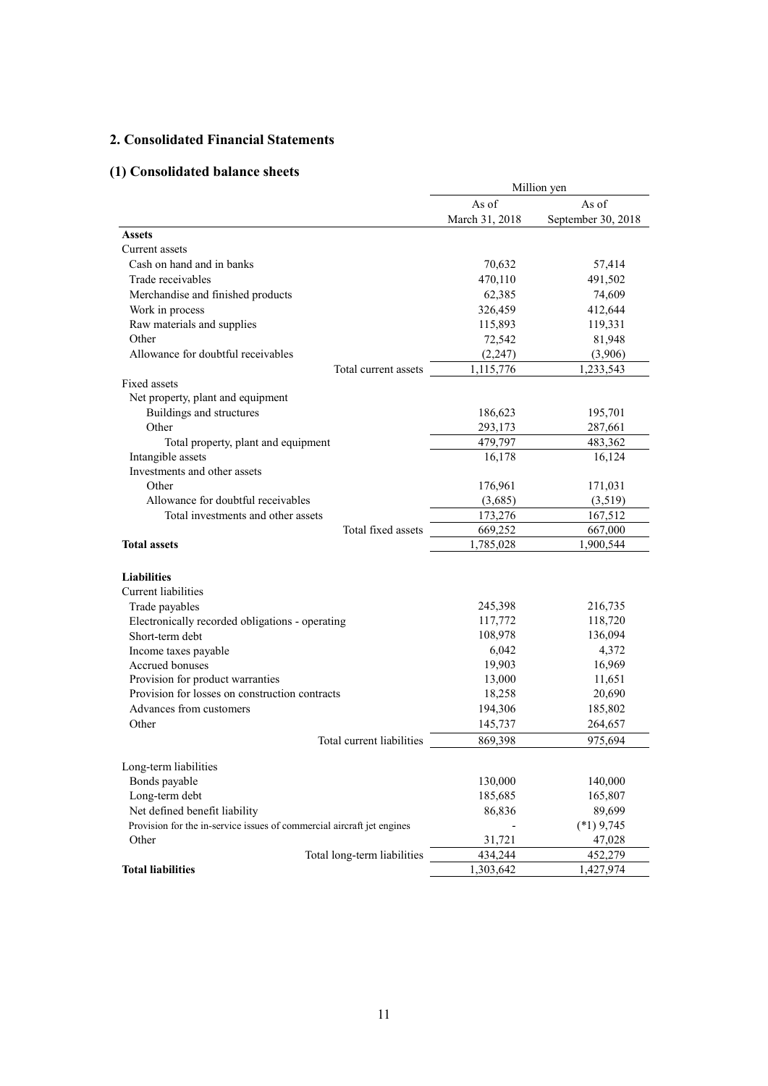# **2. Consolidated Financial Statements**

# **(1) Consolidated balance sheets**

|                                                                        | Million yen    |                    |  |
|------------------------------------------------------------------------|----------------|--------------------|--|
|                                                                        | As of          | As of              |  |
|                                                                        | March 31, 2018 | September 30, 2018 |  |
| <b>Assets</b>                                                          |                |                    |  |
| Current assets                                                         |                |                    |  |
| Cash on hand and in banks                                              | 70,632         | 57,414             |  |
| Trade receivables                                                      | 470,110        | 491,502            |  |
| Merchandise and finished products                                      | 62,385         | 74,609             |  |
| Work in process                                                        | 326,459        | 412,644            |  |
| Raw materials and supplies                                             | 115,893        | 119,331            |  |
| Other                                                                  | 72,542         | 81,948             |  |
| Allowance for doubtful receivables                                     | (2, 247)       | (3,906)            |  |
| Total current assets                                                   | 1,115,776      | 1,233,543          |  |
| Fixed assets                                                           |                |                    |  |
| Net property, plant and equipment                                      |                |                    |  |
| Buildings and structures                                               | 186,623        | 195,701            |  |
| Other                                                                  | 293,173        | 287,661            |  |
| Total property, plant and equipment                                    | 479,797        | 483,362            |  |
| Intangible assets                                                      | 16,178         | 16,124             |  |
| Investments and other assets                                           |                |                    |  |
| Other                                                                  | 176,961        | 171,031            |  |
| Allowance for doubtful receivables                                     | (3,685)        | (3,519)            |  |
| Total investments and other assets                                     | 173,276        | 167,512            |  |
| Total fixed assets                                                     | 669,252        | 667,000            |  |
| <b>Total assets</b>                                                    | 1,785,028      | 1,900,544          |  |
| <b>Liabilities</b>                                                     |                |                    |  |
| Current liabilities                                                    |                |                    |  |
| Trade payables                                                         | 245,398        | 216,735            |  |
| Electronically recorded obligations - operating                        | 117,772        | 118,720            |  |
| Short-term debt                                                        | 108,978        | 136,094            |  |
| Income taxes payable                                                   | 6,042          | 4,372              |  |
| Accrued bonuses                                                        | 19,903         | 16,969             |  |
| Provision for product warranties                                       | 13,000         | 11,651             |  |
| Provision for losses on construction contracts                         | 18,258         | 20,690             |  |
| Advances from customers                                                | 194,306        | 185,802            |  |
| Other                                                                  | 145,737        | 264,657            |  |
| Total current liabilities                                              | 869,398        | 975,694            |  |
|                                                                        |                |                    |  |
| Long-term liabilities                                                  |                |                    |  |
| Bonds payable                                                          | 130,000        | 140,000            |  |
| Long-term debt                                                         | 185,685        | 165,807            |  |
| Net defined benefit liability                                          | 86,836         | 89,699             |  |
| Provision for the in-service issues of commercial aircraft jet engines |                | $(*1)$ 9,745       |  |
| Other                                                                  | 31,721         | 47,028             |  |
| Total long-term liabilities                                            | 434,244        | 452,279            |  |
| <b>Total liabilities</b>                                               | 1,303,642      | 1,427,974          |  |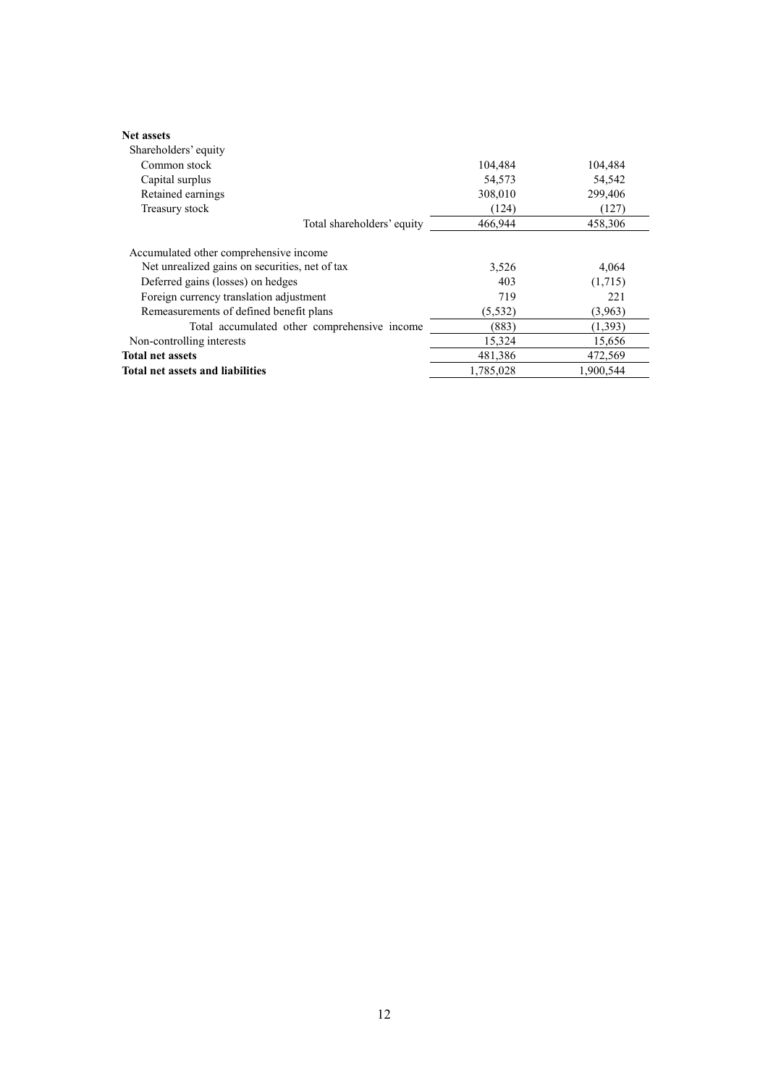| <b>Net assets</b><br>Shareholders' equity                                           |              |                  |
|-------------------------------------------------------------------------------------|--------------|------------------|
| Common stock                                                                        | 104,484      | 104,484          |
| Capital surplus                                                                     | 54,573       | 54,542           |
| Retained earnings                                                                   | 308,010      | 299,406          |
| Treasury stock                                                                      | (124)        | (127)            |
| Total shareholders' equity                                                          | 466,944      | 458.306          |
| Accumulated other comprehensive income                                              |              |                  |
| Net unrealized gains on securities, net of tax<br>Deferred gains (losses) on hedges | 3,526<br>403 | 4,064<br>(1,715) |
| Foreign currency translation adjustment                                             | 719          | 221              |
| Remeasurements of defined benefit plans                                             | (5, 532)     | (3,963)          |
| Total accumulated other comprehensive income                                        | (883)        | (1, 393)         |
| Non-controlling interests                                                           | 15,324       | 15,656           |
| <b>Total net assets</b>                                                             | 481,386      | 472,569          |
| <b>Total net assets and liabilities</b>                                             | 1,785,028    | 1,900,544        |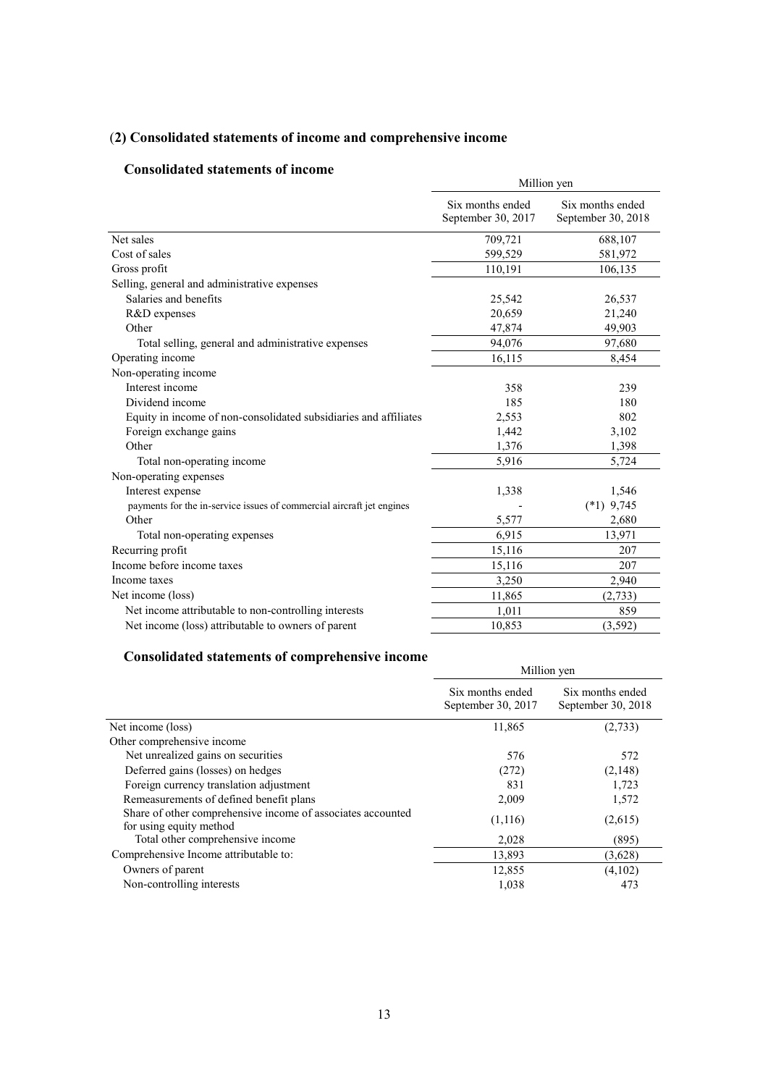# (**2) Consolidated statements of income and comprehensive income**

## **Consolidated statements of income**

| Consonuateu statements of meome                                       | Million yen                            |                                        |  |  |
|-----------------------------------------------------------------------|----------------------------------------|----------------------------------------|--|--|
|                                                                       | Six months ended<br>September 30, 2017 | Six months ended<br>September 30, 2018 |  |  |
| Net sales                                                             | 709,721                                | 688,107                                |  |  |
| Cost of sales                                                         | 599,529                                | 581,972                                |  |  |
| Gross profit                                                          | 110,191                                | 106,135                                |  |  |
| Selling, general and administrative expenses                          |                                        |                                        |  |  |
| Salaries and benefits                                                 | 25,542                                 | 26,537                                 |  |  |
| R&D expenses                                                          | 20,659                                 | 21,240                                 |  |  |
| Other                                                                 | 47,874                                 | 49,903                                 |  |  |
| Total selling, general and administrative expenses                    | 94.076                                 | 97,680                                 |  |  |
| Operating income                                                      | 16,115                                 | 8,454                                  |  |  |
| Non-operating income                                                  |                                        |                                        |  |  |
| Interest income                                                       | 358                                    | 239                                    |  |  |
| Dividend income                                                       | 185                                    | 180                                    |  |  |
| Equity in income of non-consolidated subsidiaries and affiliates      | 2,553                                  | 802                                    |  |  |
| Foreign exchange gains                                                | 1,442                                  | 3,102                                  |  |  |
| Other                                                                 | 1,376                                  | 1,398                                  |  |  |
| Total non-operating income                                            | 5,916                                  | 5,724                                  |  |  |
| Non-operating expenses                                                |                                        |                                        |  |  |
| Interest expense                                                      | 1,338                                  | 1,546                                  |  |  |
| payments for the in-service issues of commercial aircraft jet engines |                                        | $(*1)$ 9,745                           |  |  |
| Other                                                                 | 5,577                                  | 2,680                                  |  |  |
| Total non-operating expenses                                          | 6,915                                  | 13,971                                 |  |  |
| Recurring profit                                                      | 15,116                                 | 207                                    |  |  |
| Income before income taxes                                            | 15,116                                 | 207                                    |  |  |
| Income taxes                                                          | 3,250                                  | 2,940                                  |  |  |
| Net income (loss)                                                     | 11,865                                 | (2,733)                                |  |  |
| Net income attributable to non-controlling interests                  | 1,011                                  | 859                                    |  |  |
| Net income (loss) attributable to owners of parent                    | 10,853                                 | (3, 592)                               |  |  |

## **Consolidated statements of comprehensive income**

| consonance surrements or comprenensive meome                                           | Million yen                            |                                        |  |
|----------------------------------------------------------------------------------------|----------------------------------------|----------------------------------------|--|
|                                                                                        | Six months ended<br>September 30, 2017 | Six months ended<br>September 30, 2018 |  |
| Net income (loss)                                                                      | 11,865                                 | (2,733)                                |  |
| Other comprehensive income                                                             |                                        |                                        |  |
| Net unrealized gains on securities                                                     | 576                                    | 572                                    |  |
| Deferred gains (losses) on hedges                                                      | (272)                                  | (2,148)                                |  |
| Foreign currency translation adjustment                                                | 831                                    | 1,723                                  |  |
| Remeasurements of defined benefit plans                                                | 2,009                                  | 1,572                                  |  |
| Share of other comprehensive income of associates accounted<br>for using equity method | (1,116)                                | (2,615)                                |  |
| Total other comprehensive income                                                       | 2,028                                  | (895)                                  |  |
| Comprehensive Income attributable to:                                                  | 13,893                                 | (3,628)                                |  |
| Owners of parent                                                                       | 12,855                                 | (4,102)                                |  |
| Non-controlling interests                                                              | 1,038                                  | 473                                    |  |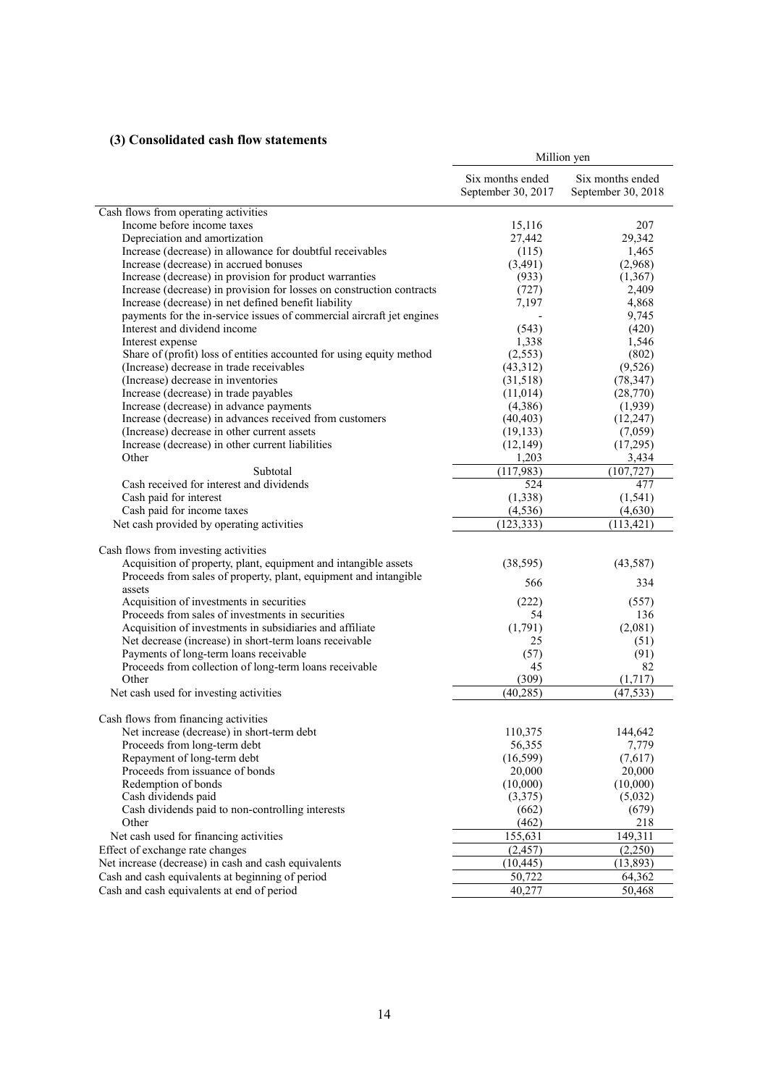# **(3) Consolidated cash flow statements**

|                                                                       | Million yen                            |                                        |  |
|-----------------------------------------------------------------------|----------------------------------------|----------------------------------------|--|
|                                                                       | Six months ended<br>September 30, 2017 | Six months ended<br>September 30, 2018 |  |
| Cash flows from operating activities                                  |                                        |                                        |  |
| Income before income taxes                                            | 15,116                                 | 207                                    |  |
| Depreciation and amortization                                         | 27,442                                 | 29,342                                 |  |
| Increase (decrease) in allowance for doubtful receivables             | (115)                                  | 1,465                                  |  |
| Increase (decrease) in accrued bonuses                                | (3, 491)                               | (2,968)                                |  |
| Increase (decrease) in provision for product warranties               | (933)                                  | (1, 367)                               |  |
| Increase (decrease) in provision for losses on construction contracts | (727)                                  | 2,409                                  |  |
| Increase (decrease) in net defined benefit liability                  | 7,197                                  | 4,868                                  |  |
| payments for the in-service issues of commercial aircraft jet engines |                                        | 9,745                                  |  |
| Interest and dividend income                                          | (543)                                  | (420)                                  |  |
| Interest expense                                                      | 1,338                                  | 1,546                                  |  |
| Share of (profit) loss of entities accounted for using equity method  | (2, 553)                               | (802)                                  |  |
| (Increase) decrease in trade receivables                              | (43,312)                               | (9,526)                                |  |
| (Increase) decrease in inventories                                    | (31,518)                               | (78, 347)                              |  |
| Increase (decrease) in trade payables                                 | (11, 014)                              | (28, 770)                              |  |
| Increase (decrease) in advance payments                               | (4,386)                                | (1,939)                                |  |
| Increase (decrease) in advances received from customers               | (40, 403)                              | (12, 247)                              |  |
| (Increase) decrease in other current assets                           | (19, 133)                              | (7,059)                                |  |
| Increase (decrease) in other current liabilities                      | (12, 149)                              | (17,295)                               |  |
| Other                                                                 | 1,203                                  | 3,434                                  |  |
| Subtotal                                                              | (117,983)                              | (107, 727)                             |  |
| Cash received for interest and dividends                              | 524                                    | 477                                    |  |
| Cash paid for interest                                                | (1, 338)                               | (1, 541)                               |  |
| Cash paid for income taxes                                            | (4, 536)                               | (4,630)                                |  |
| Net cash provided by operating activities                             | (123, 333)                             | (113, 421)                             |  |
| Cash flows from investing activities                                  |                                        |                                        |  |
| Acquisition of property, plant, equipment and intangible assets       | (38, 595)                              | (43,587)                               |  |
| Proceeds from sales of property, plant, equipment and intangible      |                                        |                                        |  |
| assets                                                                | 566                                    | 334                                    |  |
| Acquisition of investments in securities                              | (222)                                  | (557)                                  |  |
| Proceeds from sales of investments in securities                      | 54                                     | 136                                    |  |
| Acquisition of investments in subsidiaries and affiliate              | (1,791)                                | (2,081)                                |  |
| Net decrease (increase) in short-term loans receivable                | 25                                     | (51)                                   |  |
| Payments of long-term loans receivable                                | (57)                                   | (91)                                   |  |
| Proceeds from collection of long-term loans receivable                | 45                                     | 82                                     |  |
| Other                                                                 | (309)                                  | (1,717)                                |  |
| Net cash used for investing activities                                | (40, 285)                              | (47, 533)                              |  |
|                                                                       |                                        |                                        |  |
| Cash flows from financing activities                                  |                                        |                                        |  |
| Net increase (decrease) in short-term debt                            | 110,375                                | 144,642                                |  |
| Proceeds from long-term debt                                          | 56,355                                 | 7,779                                  |  |
| Repayment of long-term debt                                           | (16, 599)                              | (7,617)                                |  |
| Proceeds from issuance of bonds                                       | 20,000                                 | 20,000                                 |  |
| Redemption of bonds                                                   | (10,000)                               | (10,000)                               |  |
| Cash dividends paid                                                   | (3,375)                                | (5,032)                                |  |
| Cash dividends paid to non-controlling interests                      | (662)                                  | (679)                                  |  |
| Other                                                                 | (462)                                  | 218                                    |  |
| Net cash used for financing activities                                | 155,631                                | 149,311                                |  |
| Effect of exchange rate changes                                       | (2, 457)                               | (2,250)                                |  |
| Net increase (decrease) in cash and cash equivalents                  | (10, 445)                              | (13, 893)                              |  |
| Cash and cash equivalents at beginning of period                      | 50,722                                 | 64,362                                 |  |
| Cash and cash equivalents at end of period                            | 40,277                                 | 50,468                                 |  |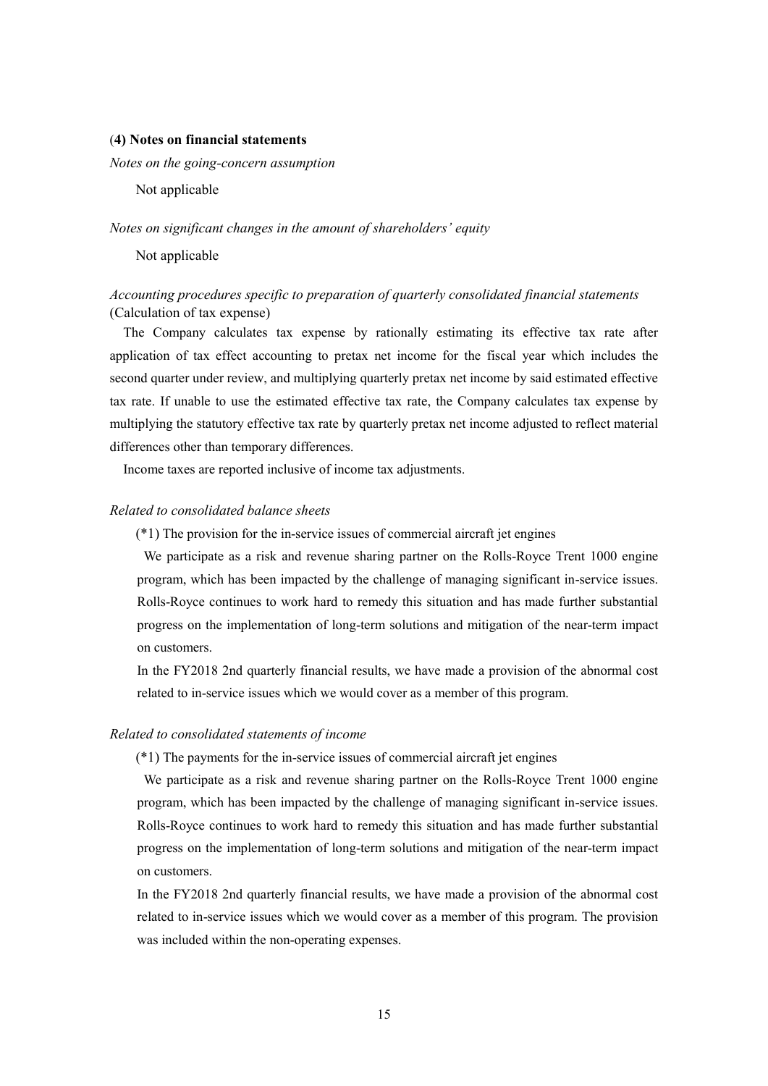#### (**4) Notes on financial statements**

*Notes on the going-concern assumption* 

Not applicable

#### *Notes on significant changes in the amount of shareholders' equity*

Not applicable

## *Accounting procedures specific to preparation of quarterly consolidated financial statements* (Calculation of tax expense)

The Company calculates tax expense by rationally estimating its effective tax rate after application of tax effect accounting to pretax net income for the fiscal year which includes the second quarter under review, and multiplying quarterly pretax net income by said estimated effective tax rate. If unable to use the estimated effective tax rate, the Company calculates tax expense by multiplying the statutory effective tax rate by quarterly pretax net income adjusted to reflect material differences other than temporary differences.

Income taxes are reported inclusive of income tax adjustments.

### *Related to consolidated balance sheets*

(\*1) The provision for the in-service issues of commercial aircraft jet engines

We participate as a risk and revenue sharing partner on the Rolls-Royce Trent 1000 engine program, which has been impacted by the challenge of managing significant in-service issues. Rolls-Royce continues to work hard to remedy this situation and has made further substantial progress on the implementation of long-term solutions and mitigation of the near-term impact on customers.

In the FY2018 2nd quarterly financial results, we have made a provision of the abnormal cost related to in-service issues which we would cover as a member of this program.

#### *Related to consolidated statements of income*

(\*1) The payments for the in-service issues of commercial aircraft jet engines

We participate as a risk and revenue sharing partner on the Rolls-Royce Trent 1000 engine program, which has been impacted by the challenge of managing significant in-service issues. Rolls-Royce continues to work hard to remedy this situation and has made further substantial progress on the implementation of long-term solutions and mitigation of the near-term impact on customers.

In the FY2018 2nd quarterly financial results, we have made a provision of the abnormal cost related to in-service issues which we would cover as a member of this program. The provision was included within the non-operating expenses.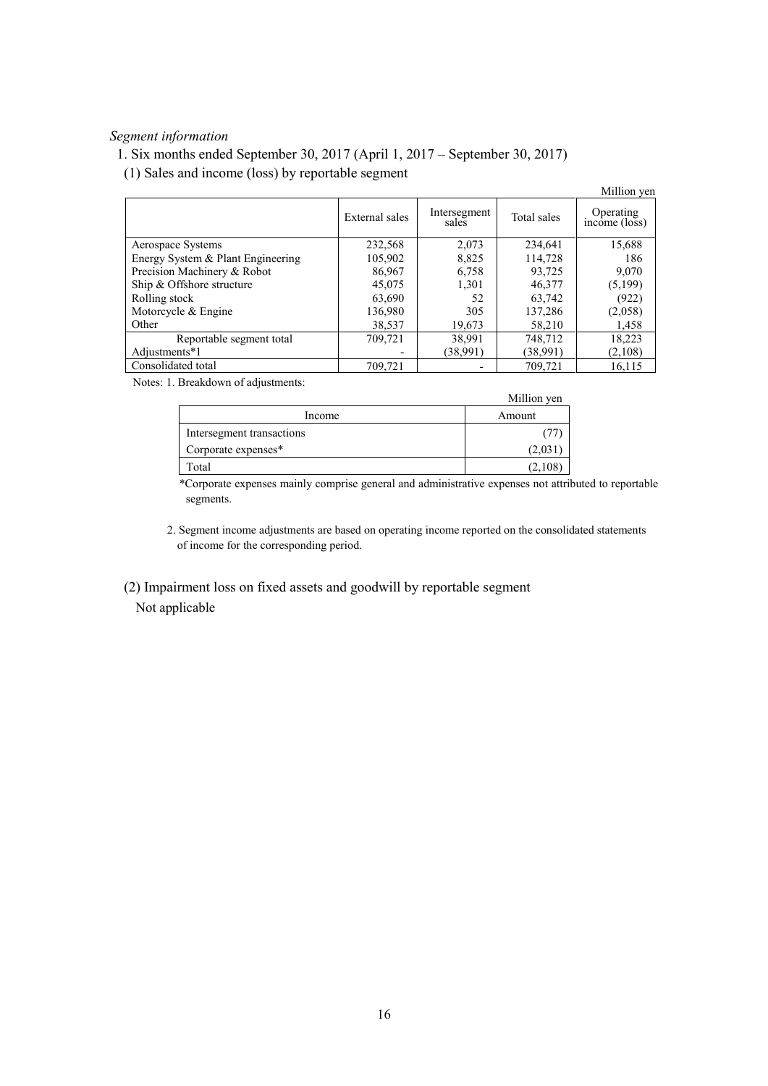## *Segment information*

## 1. Six months ended September 30, 2017 (April 1, 2017 – September 30, 2017)

(1) Sales and income (loss) by reportable segment

|                                   |                |                       |             | Million yen                                   |
|-----------------------------------|----------------|-----------------------|-------------|-----------------------------------------------|
|                                   | External sales | Intersegment<br>sales | Total sales | Operating<br>$inc\hat{o}$ me ( $\hat{loss}$ ) |
| Aerospace Systems                 | 232,568        | 2,073                 | 234,641     | 15,688                                        |
| Energy System & Plant Engineering | 105,902        | 8,825                 | 114,728     | 186                                           |
| Precision Machinery & Robot       | 86,967         | 6,758                 | 93,725      | 9,070                                         |
| Ship & Offshore structure         | 45,075         | 1,301                 | 46,377      | (5,199)                                       |
| Rolling stock                     | 63,690         | 52                    | 63,742      | (922)                                         |
| Motorcycle $&$ Engine             | 136,980        | 305                   | 137,286     | (2,058)                                       |
| Other                             | 38,537         | 19,673                | 58,210      | 1,458                                         |
| Reportable segment total          | 709,721        | 38,991                | 748,712     | 18,223                                        |
| Adjustments*1                     |                | (38,991)              | (38,991)    | (2,108)                                       |
| Consolidated total                | 709,721        |                       | 709,721     | 16,115                                        |

Notes: 1. Breakdown of adjustments:

|                           | Million yen |
|---------------------------|-------------|
| Income                    | Amount      |
| Intersegment transactions |             |
| Corporate expenses*       | (2.031)     |
| Total                     | (2,108)     |

\*Corporate expenses mainly comprise general and administrative expenses not attributed to reportable segments.

2. Segment income adjustments are based on operating income reported on the consolidated statements of income for the corresponding period.

 (2) Impairment loss on fixed assets and goodwill by reportable segment Not applicable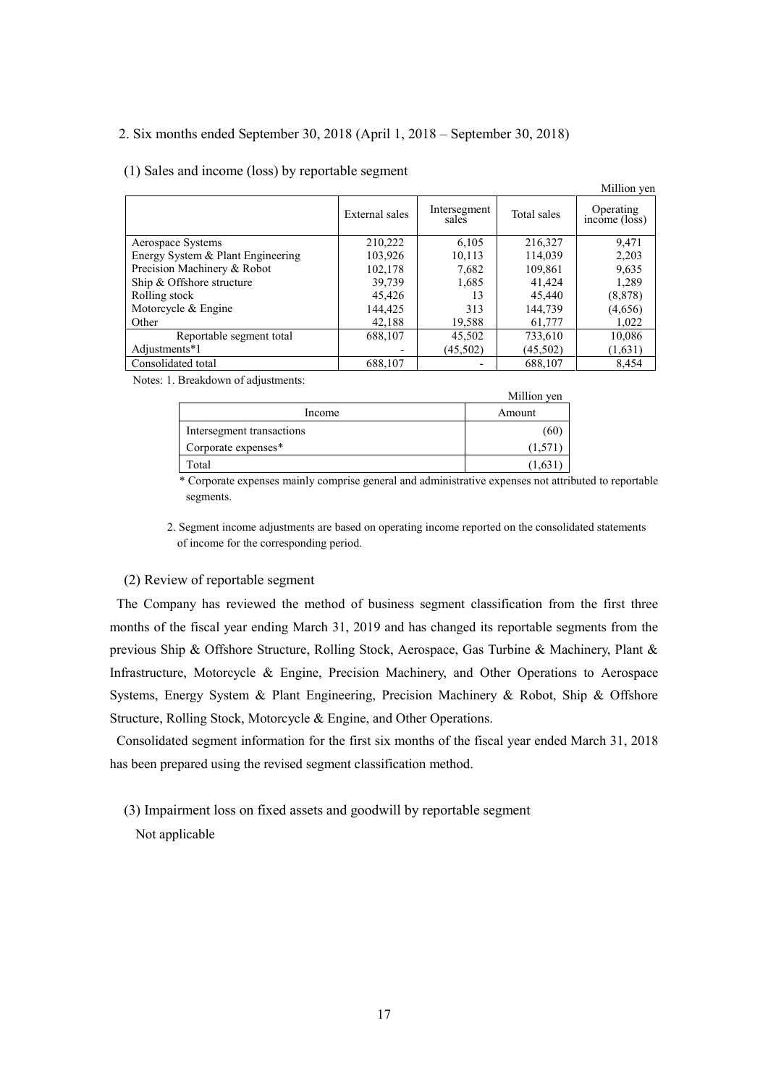## 2. Six months ended September 30, 2018 (April 1, 2018 – September 30, 2018)

### (1) Sales and income (loss) by reportable segment

|                                   |                |                       |             | <b>IVILITIOII</b> VCII                  |
|-----------------------------------|----------------|-----------------------|-------------|-----------------------------------------|
|                                   | External sales | Intersegment<br>sales | Total sales | Operating<br>$inc\overline{one}$ (loss) |
| Aerospace Systems                 | 210,222        | 6,105                 | 216,327     | 9,471                                   |
| Energy System & Plant Engineering | 103,926        | 10,113                | 114,039     | 2,203                                   |
| Precision Machinery & Robot       | 102,178        | 7,682                 | 109,861     | 9,635                                   |
| Ship & Offshore structure         | 39,739         | 1,685                 | 41,424      | 1,289                                   |
| Rolling stock                     | 45,426         | 13                    | 45,440      | (8, 878)                                |
| Motorcycle & Engine               | 144,425        | 313                   | 144,739     | (4,656)                                 |
| Other                             | 42,188         | 19,588                | 61,777      | 1,022                                   |
| Reportable segment total          | 688,107        | 45,502                | 733,610     | 10,086                                  |
| Adjustments*1                     |                | (45,502)              | (45, 502)   | (1,631)                                 |
| Consolidated total                | 688,107        |                       | 688,107     | 8,454                                   |

Million you

Notes: 1. Breakdown of adjustments:

|                           | <b>IVILITIOII VUI</b> |
|---------------------------|-----------------------|
| Income                    | Amount                |
| Intersegment transactions | (60)                  |
| Corporate expenses*       | (1.571                |
| fotal                     | 1.63                  |

\* Corporate expenses mainly comprise general and administrative expenses not attributed to reportable segments.

Million you

2. Segment income adjustments are based on operating income reported on the consolidated statements of income for the corresponding period.

### (2) Review of reportable segment

The Company has reviewed the method of business segment classification from the first three months of the fiscal year ending March 31, 2019 and has changed its reportable segments from the previous Ship & Offshore Structure, Rolling Stock, Aerospace, Gas Turbine & Machinery, Plant & Infrastructure, Motorcycle & Engine, Precision Machinery, and Other Operations to Aerospace Systems, Energy System & Plant Engineering, Precision Machinery & Robot, Ship & Offshore Structure, Rolling Stock, Motorcycle & Engine, and Other Operations.

Consolidated segment information for the first six months of the fiscal year ended March 31, 2018 has been prepared using the revised segment classification method.

(3) Impairment loss on fixed assets and goodwill by reportable segment

Not applicable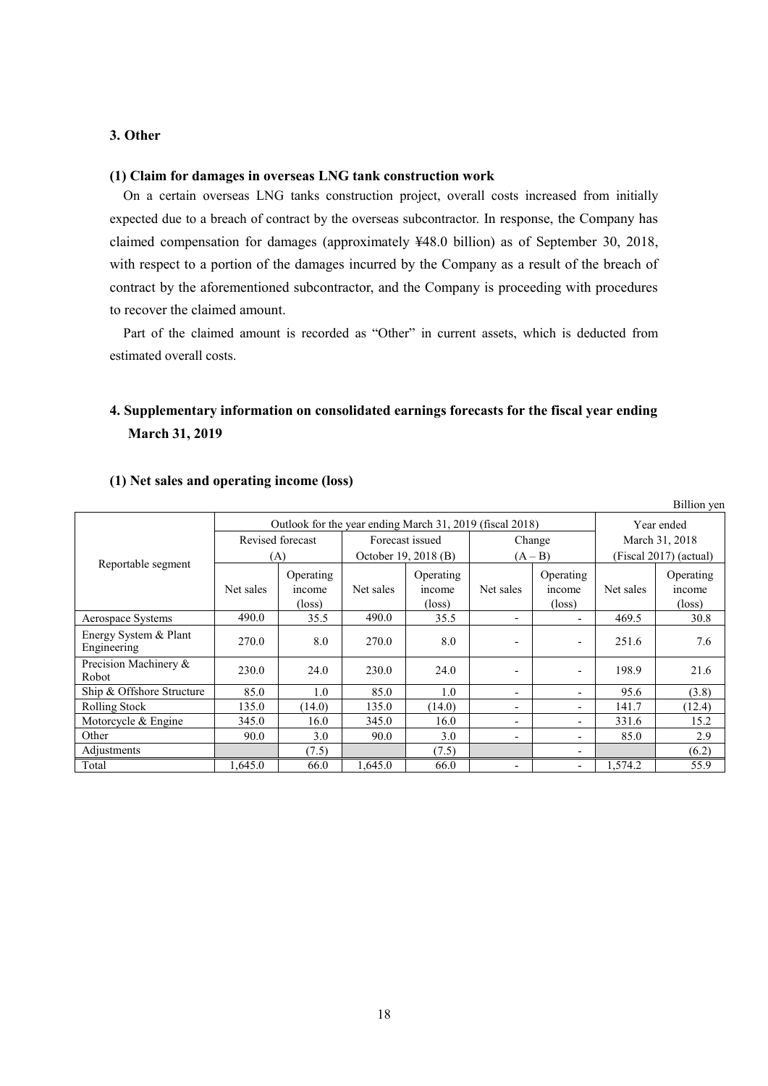## **3. Other**

## **(1) Claim for damages in overseas LNG tank construction work**

On a certain overseas LNG tanks construction project, overall costs increased from initially expected due to a breach of contract by the overseas subcontractor. In response, the Company has claimed compensation for damages (approximately ¥48.0 billion) as of September 30, 2018, with respect to a portion of the damages incurred by the Company as a result of the breach of contract by the aforementioned subcontractor, and the Company is proceeding with procedures to recover the claimed amount.

Part of the claimed amount is recorded as "Other" in current assets, which is deducted from estimated overall costs.

# **4. Supplementary information on consolidated earnings forecasts for the fiscal year ending March 31, 2019**

| Outlook for the year ending March 31, 2019 (fiscal 2018) |                  |                                        |                 |                                        | Year ended               |                                        |                        |                                        |
|----------------------------------------------------------|------------------|----------------------------------------|-----------------|----------------------------------------|--------------------------|----------------------------------------|------------------------|----------------------------------------|
|                                                          | Revised forecast |                                        | Forecast issued |                                        | Change                   |                                        | March 31, 2018         |                                        |
|                                                          |                  | October 19, 2018 (B)<br>(A)            |                 | $(A - B)$                              |                          |                                        | (Fiscal 2017) (actual) |                                        |
| Reportable segment                                       | Net sales        | Operating<br>income<br>$(\text{loss})$ | Net sales       | Operating<br>income<br>$(\text{loss})$ | Net sales                | Operating<br>income<br>$(\text{loss})$ | Net sales              | Operating<br>income<br>$(\text{loss})$ |
| Aerospace Systems                                        | 490.0            | 35.5                                   | 490.0           | 35.5                                   |                          | $\overline{\phantom{a}}$               | 469.5                  | 30.8                                   |
| Energy System & Plant<br>Engineering                     | 270.0            | 8.0                                    | 270.0           | 8.0                                    |                          | $\blacksquare$                         | 251.6                  | 7.6                                    |
| Precision Machinery &<br>Robot                           | 230.0            | 24.0                                   | 230.0           | 24.0                                   |                          | $\overline{\phantom{0}}$               | 198.9                  | 21.6                                   |
| Ship & Offshore Structure                                | 85.0             | 1.0                                    | 85.0            | 1.0                                    | $\overline{\phantom{0}}$ | $\overline{\phantom{a}}$               | 95.6                   | (3.8)                                  |
| Rolling Stock                                            | 135.0            | (14.0)                                 | 135.0           | (14.0)                                 | -                        | $\overline{\phantom{a}}$               | 141.7                  | (12.4)                                 |
| Motorcycle & Engine                                      | 345.0            | 16.0                                   | 345.0           | 16.0                                   | $\overline{\phantom{0}}$ | $\overline{\phantom{a}}$               | 331.6                  | 15.2                                   |
| Other                                                    | 90.0             | 3.0                                    | 90.0            | 3.0                                    | -                        | $\blacksquare$                         | 85.0                   | 2.9                                    |
| Adjustments                                              |                  | (7.5)                                  |                 | (7.5)                                  |                          | $\overline{\phantom{0}}$               |                        | (6.2)                                  |
| Total                                                    | .645.0           | 66.0                                   | 1,645.0         | 66.0                                   |                          | $\blacksquare$                         | 1,574.2                | 55.9                                   |

Billion yen

## **(1) Net sales and operating income (loss)**